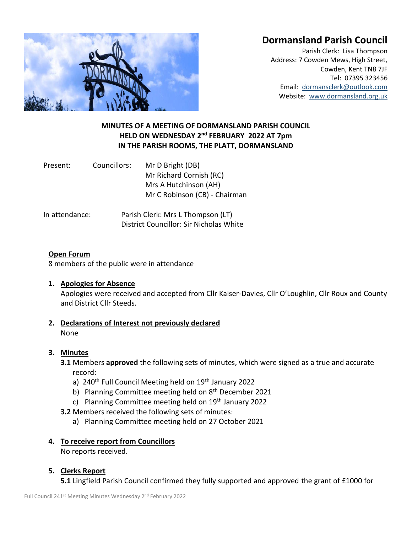# **Dormansland Parish Council**



Parish Clerk: Lisa Thompson Address: 7 Cowden Mews, High Street, Cowden, Kent TN8 7JF Tel: 07395 323456 Email: [dormansclerk@outlook.com](mailto:dormansclerk@outlook.com) Website: [www.dormansland.org.uk](http://www.dormansland.org.uk/)

# **MINUTES OF A MEETING OF DORMANSLAND PARISH COUNCIL HELD ON WEDNESDAY 2 nd FEBRUARY 2022 AT 7pm IN THE PARISH ROOMS, THE PLATT, DORMANSLAND**

| Present: | Councillors: | Mr D Bright (DB)              |  |
|----------|--------------|-------------------------------|--|
|          |              | Mr Richard Cornish (RC)       |  |
|          |              | Mrs A Hutchinson (AH)         |  |
|          |              | Mr C Robinson (CB) - Chairman |  |
|          |              |                               |  |

In attendance: Parish Clerk: Mrs L Thompson (LT) District Councillor: Sir Nicholas White

## **Open Forum**

8 members of the public were in attendance

## **1. Apologies for Absence**

Apologies were received and accepted from Cllr Kaiser-Davies, Cllr O'Loughlin, Cllr Roux and County and District Cllr Steeds.

**2. Declarations of Interest not previously declared** None

## **3. Minutes**

**3.1** Members **approved** the following sets of minutes, which were signed as a true and accurate record:

- a)  $240<sup>th</sup>$  Full Council Meeting held on  $19<sup>th</sup>$  January 2022
- b) Planning Committee meeting held on  $8<sup>th</sup>$  December 2021
- c) Planning Committee meeting held on  $19<sup>th</sup>$  January 2022
- **3.2** Members received the following sets of minutes:
	- a) Planning Committee meeting held on 27 October 2021

## **4. To receive report from Councillors**

No reports received.

## **5. Clerks Report**

**5.1** Lingfield Parish Council confirmed they fully supported and approved the grant of £1000 for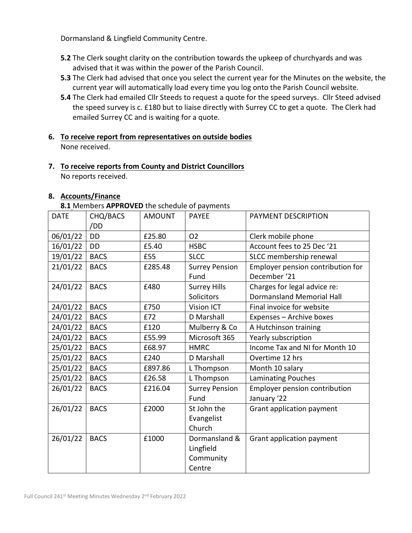Dormansland & Lingfield Community Centre.

- **5.2** The Clerk sought clarity on the contribution towards the upkeep of churchyards and was advised that it was within the power of the Parish Council.
- **5.3** The Clerk had advised that once you select the current year for the Minutes on the website, the current year will automatically load every time you log onto the Parish Council website.
- **5.4** The Clerk had emailed Cllr Steeds to request a quote for the speed surveys. Cllr Steed advised the speed survey is c. £180 but to liaise directly with Surrey CC to get a quote. The Clerk had emailed Surrey CC and is waiting for a quote.
- **6. To receive report from representatives on outside bodies** None received.
- **7. To receive reports from County and District Councillors** No reports received.

## **8. Accounts/Finance**

**8.1** Members **APPROVED** the schedule of payments

| CHQ/BACS    | <b>AMOUNT</b> | <b>PAYEE</b>          | PAYMENT DESCRIPTION                                |
|-------------|---------------|-----------------------|----------------------------------------------------|
| /DD         |               |                       |                                                    |
| <b>DD</b>   | £25.80        | <b>O2</b>             | Clerk mobile phone                                 |
| <b>DD</b>   | £5.40         | <b>HSBC</b>           | Account fees to 25 Dec '21                         |
| <b>BACS</b> | £55           | <b>SLCC</b>           | SLCC membership renewal                            |
| <b>BACS</b> | £285.48       | <b>Surrey Pension</b> | Employer pension contribution for                  |
|             |               | Fund                  | December '21                                       |
| <b>BACS</b> | £480          | <b>Surrey Hills</b>   | Charges for legal advice re:                       |
|             |               | Solicitors            | <b>Dormansland Memorial Hall</b>                   |
| <b>BACS</b> | £750          | Vision ICT            | Final invoice for website                          |
| <b>BACS</b> | £72           | D Marshall            | Expenses - Archive boxes                           |
| <b>BACS</b> | £120          | Mulberry & Co         | A Hutchinson training                              |
| <b>BACS</b> | £55.99        | Microsoft 365         | Yearly subscription                                |
| <b>BACS</b> | £68.97        | <b>HMRC</b>           | Income Tax and NI for Month 10                     |
| <b>BACS</b> | £240          | D Marshall            | Overtime 12 hrs                                    |
| <b>BACS</b> | £897.86       | L Thompson            | Month 10 salary                                    |
| <b>BACS</b> | £26.58        | L Thompson            | <b>Laminating Pouches</b>                          |
| <b>BACS</b> | £216.04       | <b>Surrey Pension</b> | Employer pension contribution                      |
|             |               | Fund                  | January '22                                        |
| <b>BACS</b> | £2000         | St John the           | Grant application payment                          |
|             |               | Evangelist            |                                                    |
|             |               | Church                |                                                    |
| <b>BACS</b> | £1000         | Dormansland &         | Grant application payment                          |
|             |               | Lingfield             |                                                    |
|             |               | Community             |                                                    |
|             |               | Centre                |                                                    |
|             |               |                       | 011 MICHINGTO AT THO VED GITC SCHOOL OF PUTHICITIO |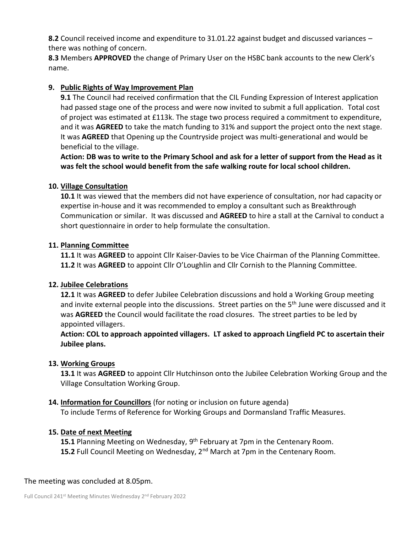**8.2** Council received income and expenditure to 31.01.22 against budget and discussed variances – there was nothing of concern.

**8.3** Members **APPROVED** the change of Primary User on the HSBC bank accounts to the new Clerk's name.

# **9. Public Rights of Way Improvement Plan**

**9.1** The Council had received confirmation that the CIL Funding Expression of Interest application had passed stage one of the process and were now invited to submit a full application. Total cost of project was estimated at £113k. The stage two process required a commitment to expenditure, and it was **AGREED** to take the match funding to 31% and support the project onto the next stage. It was **AGREED** that Opening up the Countryside project was multi-generational and would be beneficial to the village.

**Action: DB was to write to the Primary School and ask for a letter of support from the Head as it was felt the school would benefit from the safe walking route for local school children.** 

## **10. Village Consultation**

**10.1** It was viewed that the members did not have experience of consultation, nor had capacity or expertise in-house and it was recommended to employ a consultant such as Breakthrough Communication or similar. It was discussed and **AGREED** to hire a stall at the Carnival to conduct a short questionnaire in order to help formulate the consultation.

## **11. Planning Committee**

**11.1** It was **AGREED** to appoint Cllr Kaiser-Davies to be Vice Chairman of the Planning Committee. **11.2** It was **AGREED** to appoint Cllr O'Loughlin and Cllr Cornish to the Planning Committee.

## **12. Jubilee Celebrations**

**12.1** It was **AGREED** to defer Jubilee Celebration discussions and hold a Working Group meeting and invite external people into the discussions. Street parties on the 5<sup>th</sup> June were discussed and it was **AGREED** the Council would facilitate the road closures. The street parties to be led by appointed villagers.

**Action: COL to approach appointed villagers. LT asked to approach Lingfield PC to ascertain their Jubilee plans.**

## **13. Working Groups**

**13.1** It was **AGREED** to appoint Cllr Hutchinson onto the Jubilee Celebration Working Group and the Village Consultation Working Group.

## **14. Information for Councillors** (for noting or inclusion on future agenda)

To include Terms of Reference for Working Groups and Dormansland Traffic Measures.

## **15. Date of next Meeting**

15.1 Planning Meeting on Wednesday, 9<sup>th</sup> February at 7pm in the Centenary Room. 15.2 Full Council Meeting on Wednesday, 2<sup>nd</sup> March at 7pm in the Centenary Room.

## The meeting was concluded at 8.05pm.